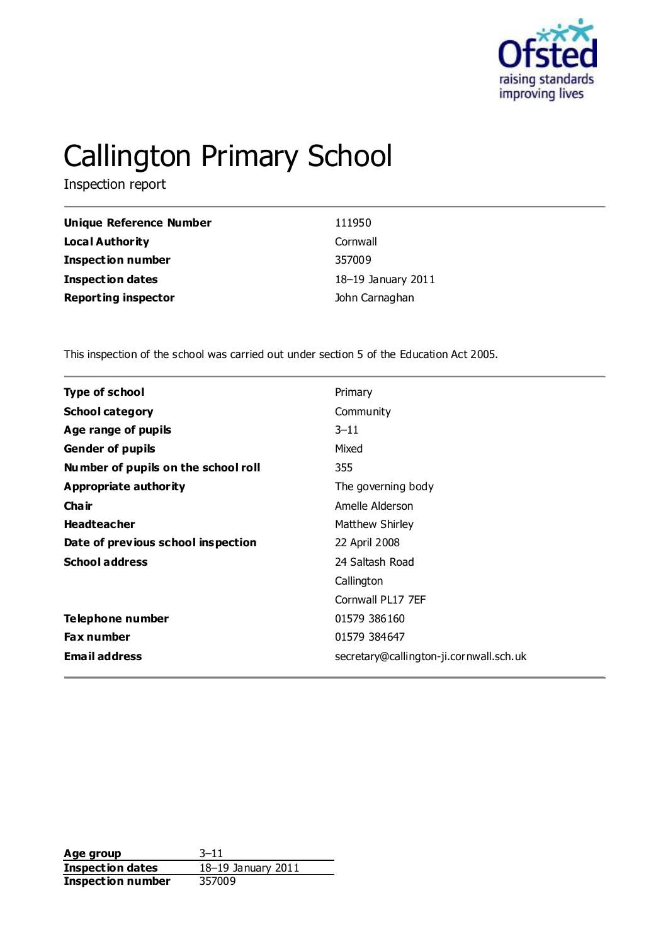

# Callington Primary School

Inspection report

| Unique Reference Number    | 111950             |
|----------------------------|--------------------|
| Local Authority            | Cornwall           |
| <b>Inspection number</b>   | 357009             |
| Inspection dates           | 18-19 January 2011 |
| <b>Reporting inspector</b> | John Carnaghan     |

This inspection of the school was carried out under section 5 of the Education Act 2005.

| Primary<br><b>Type of school</b><br><b>School category</b><br>Community<br>$3 - 11$<br>Age range of pupils<br><b>Gender of pupils</b><br>Mixed<br>Number of pupils on the school roll<br>355<br>Appropriate authority<br>The governing body<br>Cha ir<br>Amelle Alderson<br><b>Headteacher</b><br>Matthew Shirley<br>Date of previous school inspection<br>22 April 2008<br><b>School address</b><br>24 Saltash Road<br>Callington<br>Cornwall PL17 7EF<br>Telephone number<br>01579 386160<br><b>Fax number</b><br>01579 384647 |  |
|----------------------------------------------------------------------------------------------------------------------------------------------------------------------------------------------------------------------------------------------------------------------------------------------------------------------------------------------------------------------------------------------------------------------------------------------------------------------------------------------------------------------------------|--|
|                                                                                                                                                                                                                                                                                                                                                                                                                                                                                                                                  |  |
|                                                                                                                                                                                                                                                                                                                                                                                                                                                                                                                                  |  |
|                                                                                                                                                                                                                                                                                                                                                                                                                                                                                                                                  |  |
|                                                                                                                                                                                                                                                                                                                                                                                                                                                                                                                                  |  |
|                                                                                                                                                                                                                                                                                                                                                                                                                                                                                                                                  |  |
|                                                                                                                                                                                                                                                                                                                                                                                                                                                                                                                                  |  |
|                                                                                                                                                                                                                                                                                                                                                                                                                                                                                                                                  |  |
|                                                                                                                                                                                                                                                                                                                                                                                                                                                                                                                                  |  |
|                                                                                                                                                                                                                                                                                                                                                                                                                                                                                                                                  |  |
|                                                                                                                                                                                                                                                                                                                                                                                                                                                                                                                                  |  |
|                                                                                                                                                                                                                                                                                                                                                                                                                                                                                                                                  |  |
|                                                                                                                                                                                                                                                                                                                                                                                                                                                                                                                                  |  |
|                                                                                                                                                                                                                                                                                                                                                                                                                                                                                                                                  |  |
|                                                                                                                                                                                                                                                                                                                                                                                                                                                                                                                                  |  |
| <b>Email address</b><br>secretary@callington-ji.cornwall.sch.uk                                                                                                                                                                                                                                                                                                                                                                                                                                                                  |  |

**Age group** 3–11 **Inspection dates** 18–19 January 2011 **Inspection number** 357009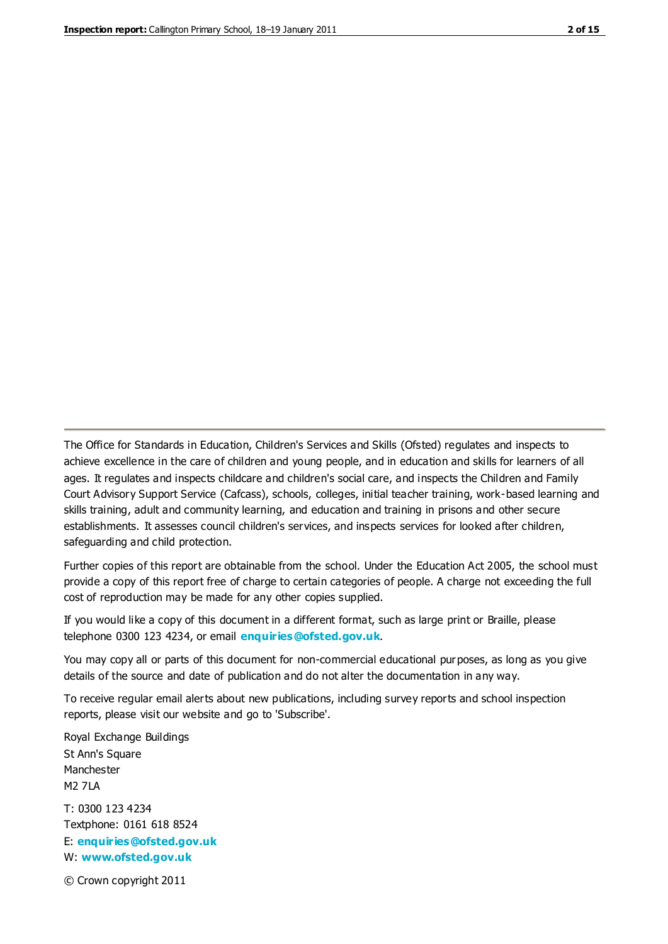The Office for Standards in Education, Children's Services and Skills (Ofsted) regulates and inspects to achieve excellence in the care of children and young people, and in education and skills for learners of all ages. It regulates and inspects childcare and children's social care, and inspects the Children and Family Court Advisory Support Service (Cafcass), schools, colleges, initial teacher training, work-based learning and skills training, adult and community learning, and education and training in prisons and other secure establishments. It assesses council children's services, and inspects services for looked after children, safeguarding and child protection.

Further copies of this report are obtainable from the school. Under the Education Act 2005, the school must provide a copy of this report free of charge to certain categories of people. A charge not exceeding the full cost of reproduction may be made for any other copies supplied.

If you would like a copy of this document in a different format, such as large print or Braille, please telephone 0300 123 4234, or email **[enquiries@ofsted.gov.uk](mailto:enquiries@ofsted.gov.uk)**.

You may copy all or parts of this document for non-commercial educational purposes, as long as you give details of the source and date of publication and do not alter the documentation in any way.

To receive regular email alerts about new publications, including survey reports and school inspection reports, please visit our website and go to 'Subscribe'.

Royal Exchange Buildings St Ann's Square Manchester M2 7LA T: 0300 123 4234 Textphone: 0161 618 8524 E: **[enquiries@ofsted.gov.uk](mailto:enquiries@ofsted.gov.uk)**

W: **[www.ofsted.gov.uk](http://www.ofsted.gov.uk/)**

© Crown copyright 2011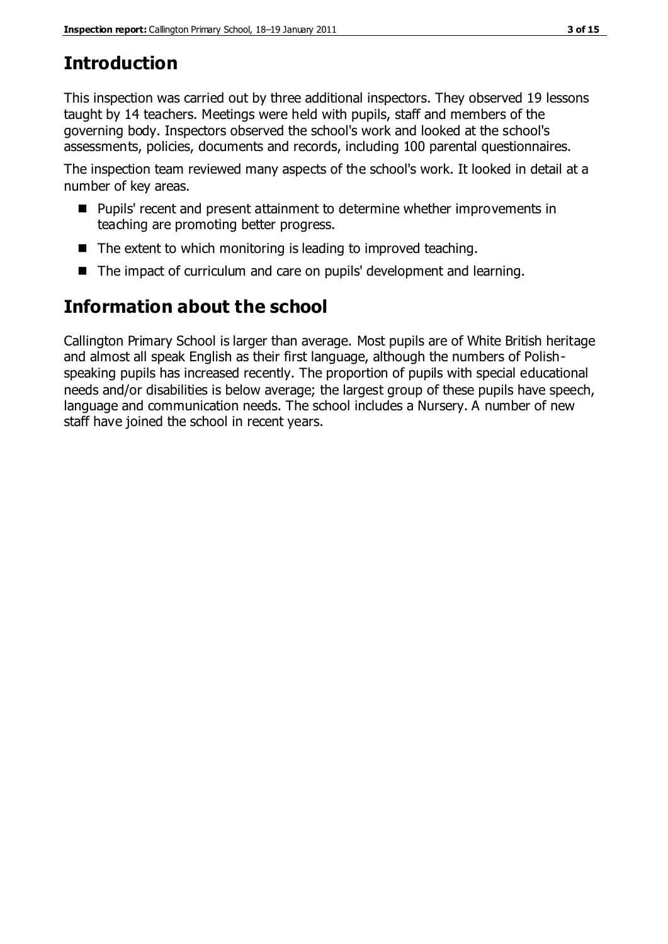# **Introduction**

This inspection was carried out by three additional inspectors. They observed 19 lessons taught by 14 teachers. Meetings were held with pupils, staff and members of the governing body. Inspectors observed the school's work and looked at the school's assessments, policies, documents and records, including 100 parental questionnaires.

The inspection team reviewed many aspects of the school's work. It looked in detail at a number of key areas.

- Pupils' recent and present attainment to determine whether improvements in teaching are promoting better progress.
- The extent to which monitoring is leading to improved teaching.
- The impact of curriculum and care on pupils' development and learning.

# **Information about the school**

Callington Primary School is larger than average. Most pupils are of White British heritage and almost all speak English as their first language, although the numbers of Polishspeaking pupils has increased recently. The proportion of pupils with special educational needs and/or disabilities is below average; the largest group of these pupils have speech, language and communication needs. The school includes a Nursery. A number of new staff have joined the school in recent years.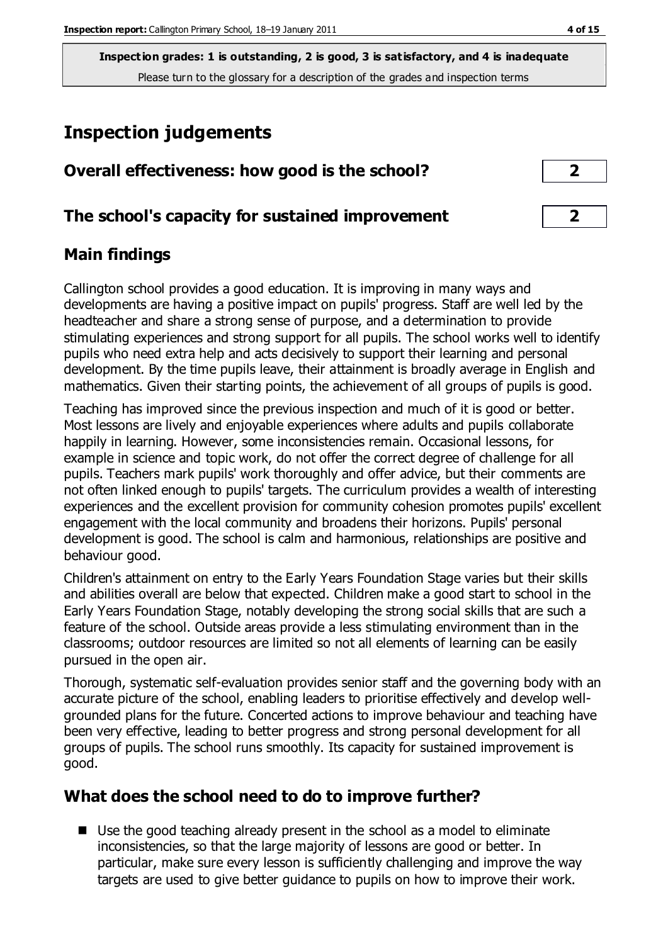# **Inspection judgements**

| Overall effectiveness: how good is the school?  |                |  |
|-------------------------------------------------|----------------|--|
| The school's capacity for sustained improvement | $\overline{2}$ |  |

### **Main findings**

Callington school provides a good education. It is improving in many ways and developments are having a positive impact on pupils' progress. Staff are well led by the headteacher and share a strong sense of purpose, and a determination to provide stimulating experiences and strong support for all pupils. The school works well to identify pupils who need extra help and acts decisively to support their learning and personal development. By the time pupils leave, their attainment is broadly average in English and mathematics. Given their starting points, the achievement of all groups of pupils is good.

Teaching has improved since the previous inspection and much of it is good or better. Most lessons are lively and enjoyable experiences where adults and pupils collaborate happily in learning. However, some inconsistencies remain. Occasional lessons, for example in science and topic work, do not offer the correct degree of challenge for all pupils. Teachers mark pupils' work thoroughly and offer advice, but their comments are not often linked enough to pupils' targets. The curriculum provides a wealth of interesting experiences and the excellent provision for community cohesion promotes pupils' excellent engagement with the local community and broadens their horizons. Pupils' personal development is good. The school is calm and harmonious, relationships are positive and behaviour good.

Children's attainment on entry to the Early Years Foundation Stage varies but their skills and abilities overall are below that expected. Children make a good start to school in the Early Years Foundation Stage, notably developing the strong social skills that are such a feature of the school. Outside areas provide a less stimulating environment than in the classrooms; outdoor resources are limited so not all elements of learning can be easily pursued in the open air.

Thorough, systematic self-evaluation provides senior staff and the governing body with an accurate picture of the school, enabling leaders to prioritise effectively and develop wellgrounded plans for the future. Concerted actions to improve behaviour and teaching have been very effective, leading to better progress and strong personal development for all groups of pupils. The school runs smoothly. Its capacity for sustained improvement is good.

### **What does the school need to do to improve further?**

■ Use the good teaching already present in the school as a model to eliminate inconsistencies, so that the large majority of lessons are good or better. In particular, make sure every lesson is sufficiently challenging and improve the way targets are used to give better guidance to pupils on how to improve their work.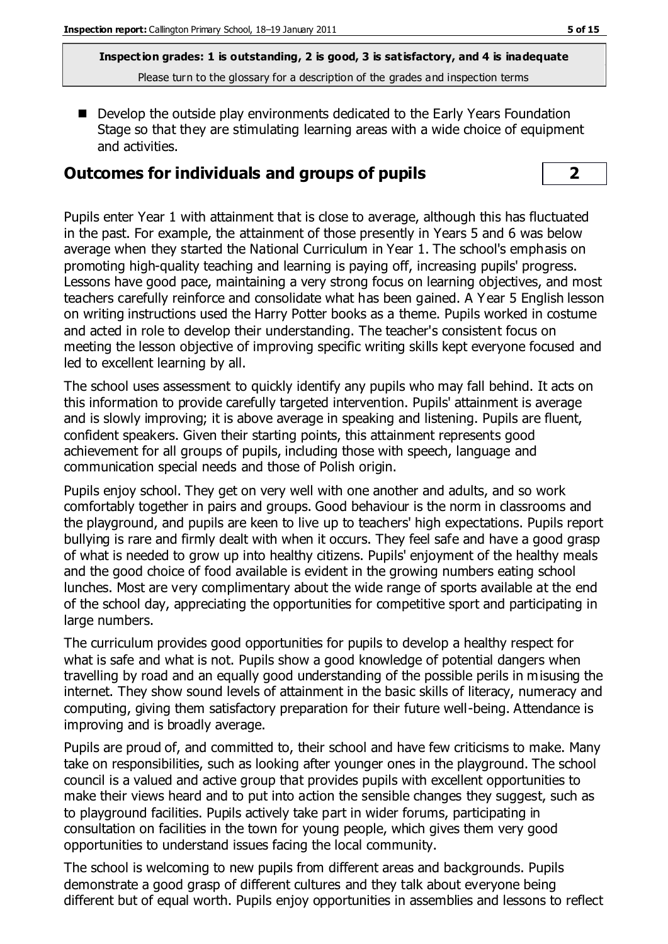Develop the outside play environments dedicated to the Early Years Foundation Stage so that they are stimulating learning areas with a wide choice of equipment and activities.

# **Outcomes for individuals and groups of pupils 2**

Pupils enter Year 1 with attainment that is close to average, although this has fluctuated in the past. For example, the attainment of those presently in Years 5 and 6 was below average when they started the National Curriculum in Year 1. The school's emphasis on promoting high-quality teaching and learning is paying off, increasing pupils' progress. Lessons have good pace, maintaining a very strong focus on learning objectives, and most teachers carefully reinforce and consolidate what has been gained. A Year 5 English lesson on writing instructions used the Harry Potter books as a theme. Pupils worked in costume and acted in role to develop their understanding. The teacher's consistent focus on meeting the lesson objective of improving specific writing skills kept everyone focused and led to excellent learning by all.

The school uses assessment to quickly identify any pupils who may fall behind. It acts on this information to provide carefully targeted intervention. Pupils' attainment is average and is slowly improving; it is above average in speaking and listening. Pupils are fluent, confident speakers. Given their starting points, this attainment represents good achievement for all groups of pupils, including those with speech, language and communication special needs and those of Polish origin.

Pupils enjoy school. They get on very well with one another and adults, and so work comfortably together in pairs and groups. Good behaviour is the norm in classrooms and the playground, and pupils are keen to live up to teachers' high expectations. Pupils report bullying is rare and firmly dealt with when it occurs. They feel safe and have a good grasp of what is needed to grow up into healthy citizens. Pupils' enjoyment of the healthy meals and the good choice of food available is evident in the growing numbers eating school lunches. Most are very complimentary about the wide range of sports available at the end of the school day, appreciating the opportunities for competitive sport and participating in large numbers.

The curriculum provides good opportunities for pupils to develop a healthy respect for what is safe and what is not. Pupils show a good knowledge of potential dangers when travelling by road and an equally good understanding of the possible perils in misusing the internet. They show sound levels of attainment in the basic skills of literacy, numeracy and computing, giving them satisfactory preparation for their future well-being. Attendance is improving and is broadly average.

Pupils are proud of, and committed to, their school and have few criticisms to make. Many take on responsibilities, such as looking after younger ones in the playground. The school council is a valued and active group that provides pupils with excellent opportunities to make their views heard and to put into action the sensible changes they suggest, such as to playground facilities. Pupils actively take part in wider forums, participating in consultation on facilities in the town for young people, which gives them very good opportunities to understand issues facing the local community.

The school is welcoming to new pupils from different areas and backgrounds. Pupils demonstrate a good grasp of different cultures and they talk about everyone being different but of equal worth. Pupils enjoy opportunities in assemblies and lessons to reflect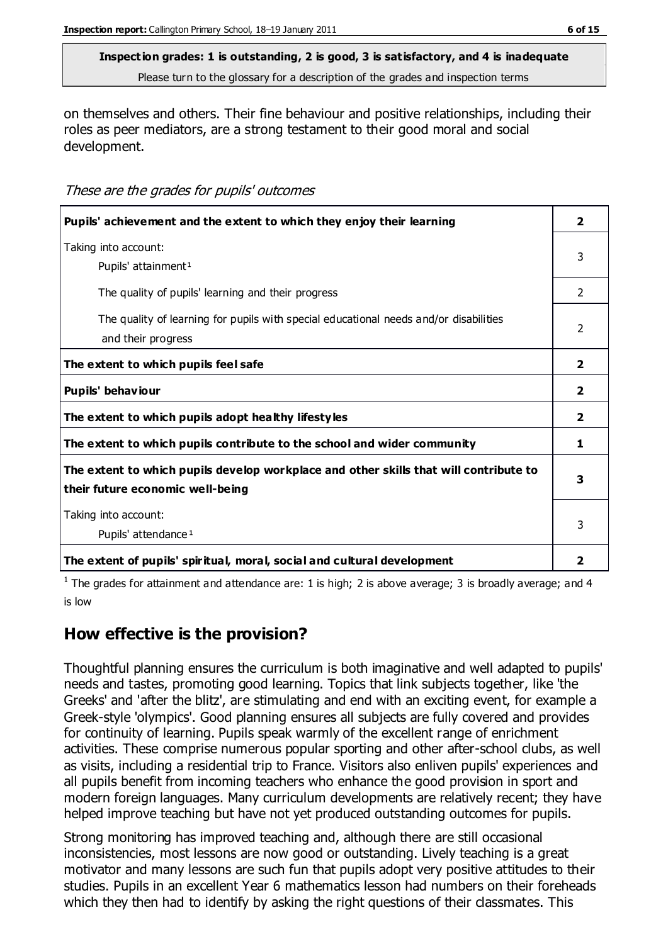# **Inspection grades: 1 is outstanding, 2 is good, 3 is satisfactory, and 4 is inadequate**

Please turn to the glossary for a description of the grades and inspection terms

on themselves and others. Their fine behaviour and positive relationships, including their roles as peer mediators, are a strong testament to their good moral and social development.

#### These are the grades for pupils' outcomes

| Pupils' achievement and the extent to which they enjoy their learning                                                     | $\overline{2}$          |
|---------------------------------------------------------------------------------------------------------------------------|-------------------------|
| Taking into account:<br>Pupils' attainment <sup>1</sup>                                                                   | 3                       |
| The quality of pupils' learning and their progress                                                                        | $\mathcal{P}$           |
| The quality of learning for pupils with special educational needs and/or disabilities<br>and their progress               | $\mathcal{P}$           |
| The extent to which pupils feel safe                                                                                      | $\overline{2}$          |
| Pupils' behaviour                                                                                                         | $\mathbf{2}$            |
| The extent to which pupils adopt healthy lifestyles                                                                       | $\overline{\mathbf{2}}$ |
| The extent to which pupils contribute to the school and wider community                                                   | 1                       |
| The extent to which pupils develop workplace and other skills that will contribute to<br>their future economic well-being | 3                       |
| Taking into account:<br>Pupils' attendance <sup>1</sup>                                                                   | 3                       |
| The extent of pupils' spiritual, moral, social and cultural development                                                   | 2                       |

<sup>1</sup> The grades for attainment and attendance are: 1 is high; 2 is above average; 3 is broadly average; and 4 is low

### **How effective is the provision?**

Thoughtful planning ensures the curriculum is both imaginative and well adapted to pupils' needs and tastes, promoting good learning. Topics that link subjects together, like 'the Greeks' and 'after the blitz', are stimulating and end with an exciting event, for example a Greek-style 'olympics'. Good planning ensures all subjects are fully covered and provides for continuity of learning. Pupils speak warmly of the excellent range of enrichment activities. These comprise numerous popular sporting and other after-school clubs, as well as visits, including a residential trip to France. Visitors also enliven pupils' experiences and all pupils benefit from incoming teachers who enhance the good provision in sport and modern foreign languages. Many curriculum developments are relatively recent; they have helped improve teaching but have not yet produced outstanding outcomes for pupils.

Strong monitoring has improved teaching and, although there are still occasional inconsistencies, most lessons are now good or outstanding. Lively teaching is a great motivator and many lessons are such fun that pupils adopt very positive attitudes to their studies. Pupils in an excellent Year 6 mathematics lesson had numbers on their foreheads which they then had to identify by asking the right questions of their classmates. This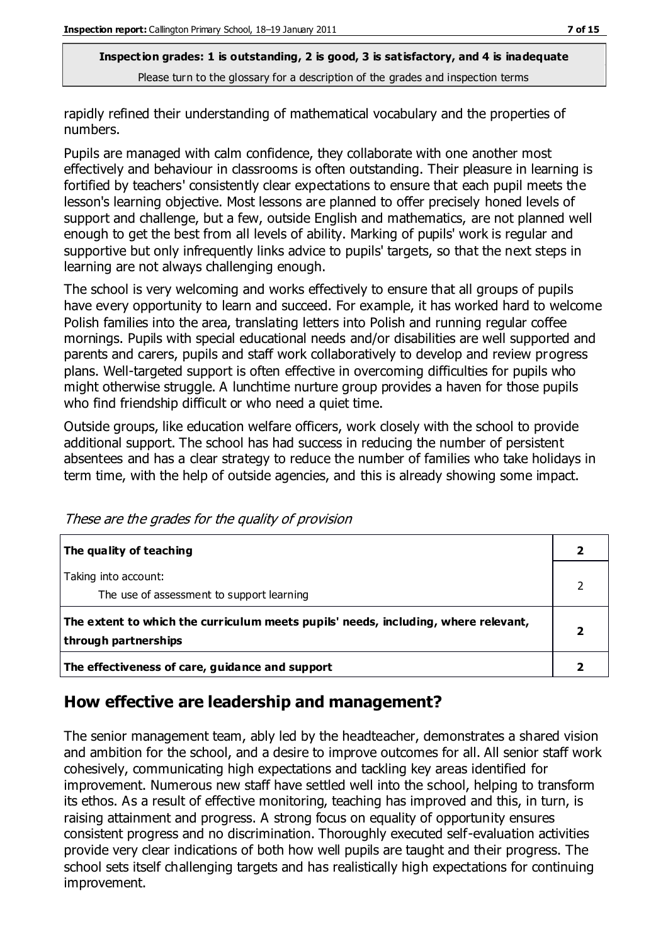rapidly refined their understanding of mathematical vocabulary and the properties of numbers.

Pupils are managed with calm confidence, they collaborate with one another most effectively and behaviour in classrooms is often outstanding. Their pleasure in learning is fortified by teachers' consistently clear expectations to ensure that each pupil meets the lesson's learning objective. Most lessons are planned to offer precisely honed levels of support and challenge, but a few, outside English and mathematics, are not planned well enough to get the best from all levels of ability. Marking of pupils' work is regular and supportive but only infrequently links advice to pupils' targets, so that the next steps in learning are not always challenging enough.

The school is very welcoming and works effectively to ensure that all groups of pupils have every opportunity to learn and succeed. For example, it has worked hard to welcome Polish families into the area, translating letters into Polish and running regular coffee mornings. Pupils with special educational needs and/or disabilities are well supported and parents and carers, pupils and staff work collaboratively to develop and review progress plans. Well-targeted support is often effective in overcoming difficulties for pupils who might otherwise struggle. A lunchtime nurture group provides a haven for those pupils who find friendship difficult or who need a quiet time.

Outside groups, like education welfare officers, work closely with the school to provide additional support. The school has had success in reducing the number of persistent absentees and has a clear strategy to reduce the number of families who take holidays in term time, with the help of outside agencies, and this is already showing some impact.

| The quality of teaching                                                                                    |  |
|------------------------------------------------------------------------------------------------------------|--|
| Taking into account:<br>The use of assessment to support learning                                          |  |
| The extent to which the curriculum meets pupils' needs, including, where relevant,<br>through partnerships |  |
| The effectiveness of care, guidance and support                                                            |  |

These are the grades for the quality of provision

# **How effective are leadership and management?**

The senior management team, ably led by the headteacher, demonstrates a shared vision and ambition for the school, and a desire to improve outcomes for all. All senior staff work cohesively, communicating high expectations and tackling key areas identified for improvement. Numerous new staff have settled well into the school, helping to transform its ethos. As a result of effective monitoring, teaching has improved and this, in turn, is raising attainment and progress. A strong focus on equality of opportunity ensures consistent progress and no discrimination. Thoroughly executed self-evaluation activities provide very clear indications of both how well pupils are taught and their progress. The school sets itself challenging targets and has realistically high expectations for continuing improvement.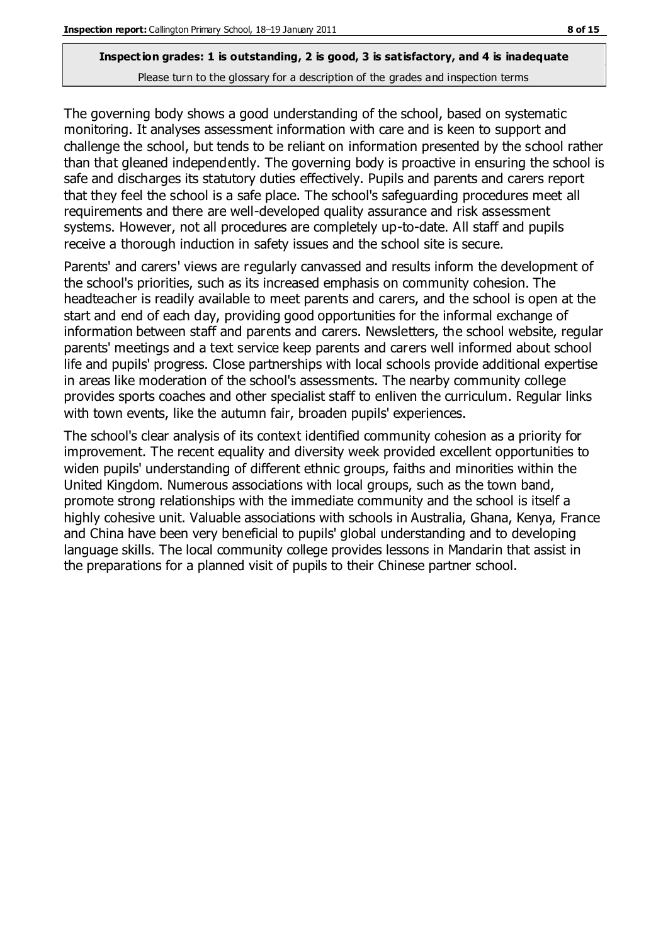The governing body shows a good understanding of the school, based on systematic monitoring. It analyses assessment information with care and is keen to support and challenge the school, but tends to be reliant on information presented by the school rather than that gleaned independently. The governing body is proactive in ensuring the school is safe and discharges its statutory duties effectively. Pupils and parents and carers report that they feel the school is a safe place. The school's safeguarding procedures meet all requirements and there are well-developed quality assurance and risk assessment systems. However, not all procedures are completely up-to-date. All staff and pupils receive a thorough induction in safety issues and the school site is secure.

Parents' and carers' views are regularly canvassed and results inform the development of the school's priorities, such as its increased emphasis on community cohesion. The headteacher is readily available to meet parents and carers, and the school is open at the start and end of each day, providing good opportunities for the informal exchange of information between staff and parents and carers. Newsletters, the school website, regular parents' meetings and a text service keep parents and carers well informed about school life and pupils' progress. Close partnerships with local schools provide additional expertise in areas like moderation of the school's assessments. The nearby community college provides sports coaches and other specialist staff to enliven the curriculum. Regular links with town events, like the autumn fair, broaden pupils' experiences.

The school's clear analysis of its context identified community cohesion as a priority for improvement. The recent equality and diversity week provided excellent opportunities to widen pupils' understanding of different ethnic groups, faiths and minorities within the United Kingdom. Numerous associations with local groups, such as the town band, promote strong relationships with the immediate community and the school is itself a highly cohesive unit. Valuable associations with schools in Australia, Ghana, Kenya, France and China have been very beneficial to pupils' global understanding and to developing language skills. The local community college provides lessons in Mandarin that assist in the preparations for a planned visit of pupils to their Chinese partner school.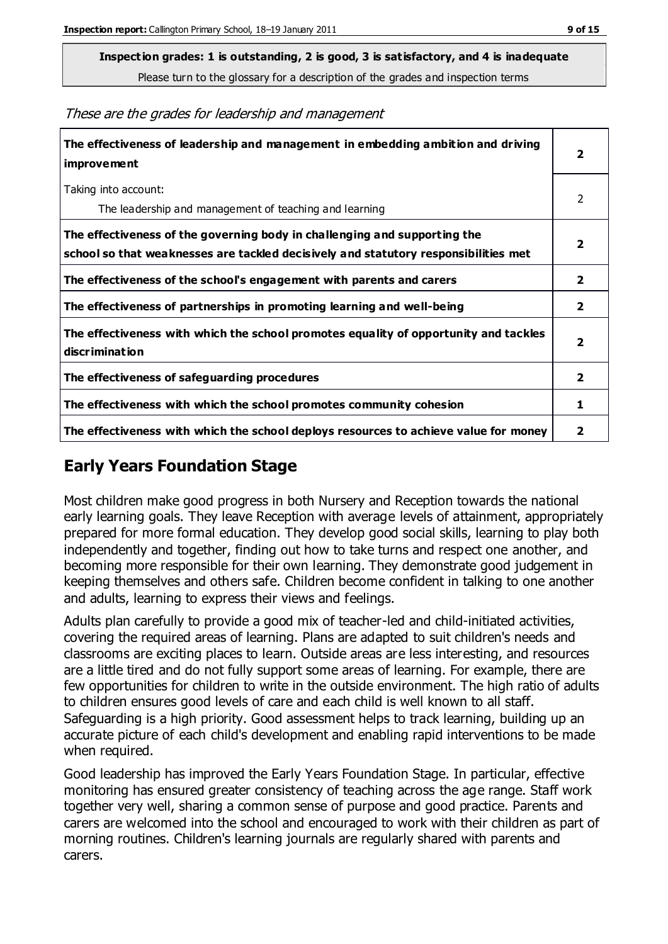**Inspection grades: 1 is outstanding, 2 is good, 3 is satisfactory, and 4 is inadequate**

Please turn to the glossary for a description of the grades and inspection terms

These are the grades for leadership and management

| The effectiveness of leadership and management in embedding ambition and driving<br>improvement                                                                  | 2                       |
|------------------------------------------------------------------------------------------------------------------------------------------------------------------|-------------------------|
| Taking into account:<br>The leadership and management of teaching and learning                                                                                   | 2                       |
| The effectiveness of the governing body in challenging and supporting the<br>school so that weaknesses are tackled decisively and statutory responsibilities met | $\overline{2}$          |
| The effectiveness of the school's engagement with parents and carers                                                                                             | 2                       |
| The effectiveness of partnerships in promoting learning and well-being                                                                                           | $\overline{2}$          |
| The effectiveness with which the school promotes equality of opportunity and tackles<br>discrimination                                                           | $\overline{\mathbf{2}}$ |
| The effectiveness of safeguarding procedures                                                                                                                     | $\overline{\mathbf{2}}$ |
| The effectiveness with which the school promotes community cohesion                                                                                              | 1                       |
| The effectiveness with which the school deploys resources to achieve value for money                                                                             | 2                       |

# **Early Years Foundation Stage**

Most children make good progress in both Nursery and Reception towards the national early learning goals. They leave Reception with average levels of attainment, appropriately prepared for more formal education. They develop good social skills, learning to play both independently and together, finding out how to take turns and respect one another, and becoming more responsible for their own learning. They demonstrate good judgement in keeping themselves and others safe. Children become confident in talking to one another and adults, learning to express their views and feelings.

Adults plan carefully to provide a good mix of teacher-led and child-initiated activities, covering the required areas of learning. Plans are adapted to suit children's needs and classrooms are exciting places to learn. Outside areas are less interesting, and resources are a little tired and do not fully support some areas of learning. For example, there are few opportunities for children to write in the outside environment. The high ratio of adults to children ensures good levels of care and each child is well known to all staff. Safeguarding is a high priority. Good assessment helps to track learning, building up an accurate picture of each child's development and enabling rapid interventions to be made when required.

Good leadership has improved the Early Years Foundation Stage. In particular, effective monitoring has ensured greater consistency of teaching across the age range. Staff work together very well, sharing a common sense of purpose and good practice. Parents and carers are welcomed into the school and encouraged to work with their children as part of morning routines. Children's learning journals are regularly shared with parents and carers.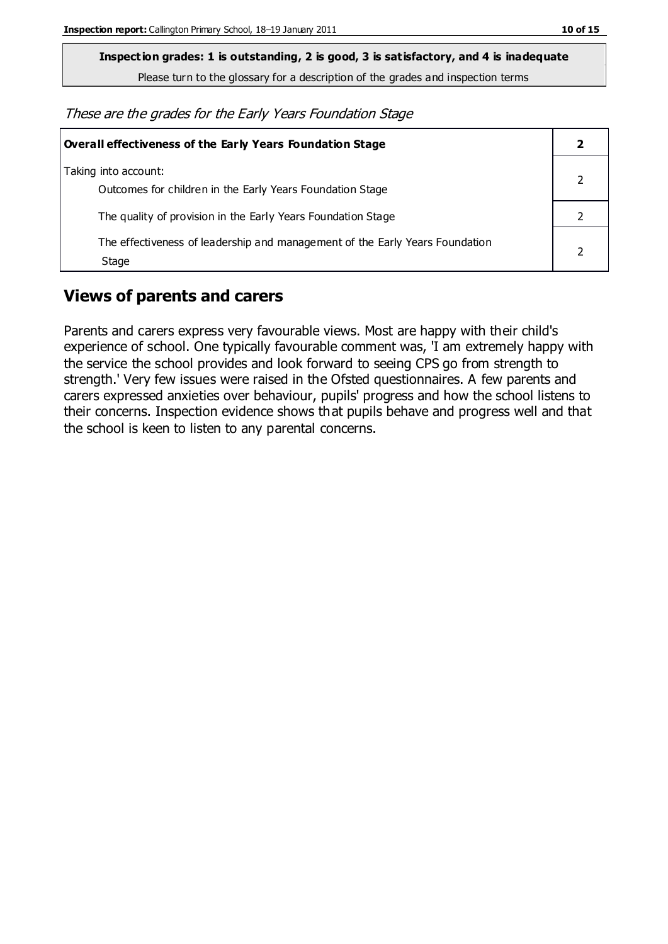**Inspection grades: 1 is outstanding, 2 is good, 3 is satisfactory, and 4 is inadequate**

Please turn to the glossary for a description of the grades and inspection terms

These are the grades for the Early Years Foundation Stage

| <b>Overall effectiveness of the Early Years Foundation Stage</b>                      |  |
|---------------------------------------------------------------------------------------|--|
| Taking into account:<br>Outcomes for children in the Early Years Foundation Stage     |  |
| The quality of provision in the Early Years Foundation Stage                          |  |
| The effectiveness of leadership and management of the Early Years Foundation<br>Stage |  |

### **Views of parents and carers**

Parents and carers express very favourable views. Most are happy with their child's experience of school. One typically favourable comment was, 'I am extremely happy with the service the school provides and look forward to seeing CPS go from strength to strength.' Very few issues were raised in the Ofsted questionnaires. A few parents and carers expressed anxieties over behaviour, pupils' progress and how the school listens to their concerns. Inspection evidence shows that pupils behave and progress well and that the school is keen to listen to any parental concerns.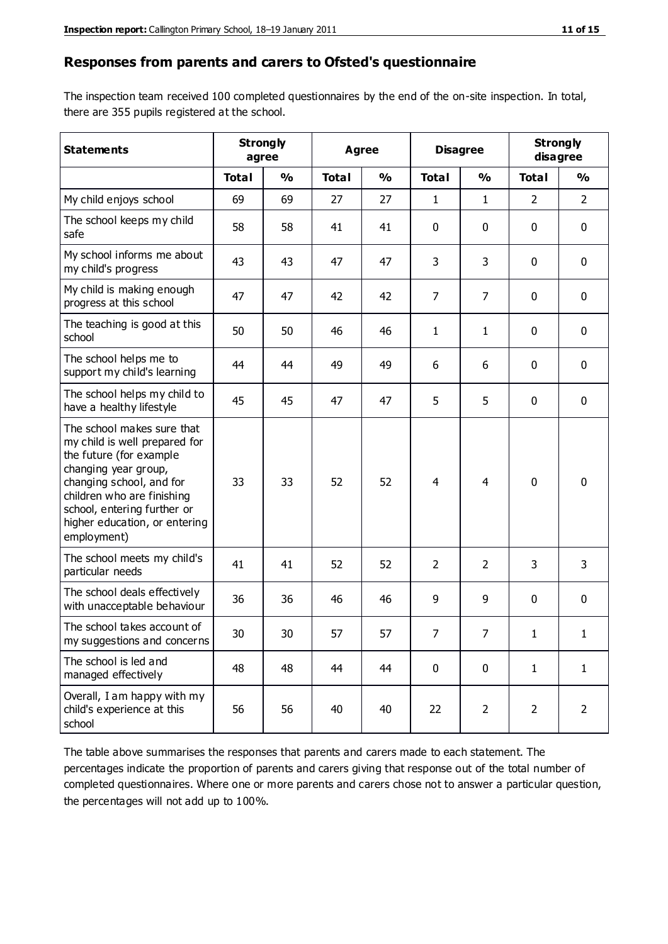#### **Responses from parents and carers to Ofsted's questionnaire**

The inspection team received 100 completed questionnaires by the end of the on-site inspection. In total, there are 355 pupils registered at the school.

| <b>Statements</b>                                                                                                                                                                                                                                       | <b>Strongly</b><br>agree |               | <b>Agree</b> |               |                | <b>Disagree</b> |                | <b>Strongly</b><br>disagree |  |
|---------------------------------------------------------------------------------------------------------------------------------------------------------------------------------------------------------------------------------------------------------|--------------------------|---------------|--------------|---------------|----------------|-----------------|----------------|-----------------------------|--|
|                                                                                                                                                                                                                                                         | <b>Total</b>             | $\frac{0}{0}$ | <b>Total</b> | $\frac{0}{0}$ | <b>Total</b>   | $\frac{0}{0}$   | <b>Total</b>   | $\frac{1}{2}$               |  |
| My child enjoys school                                                                                                                                                                                                                                  | 69                       | 69            | 27           | 27            | 1              | $\mathbf{1}$    | $\overline{2}$ | $\overline{2}$              |  |
| The school keeps my child<br>safe                                                                                                                                                                                                                       | 58                       | 58            | 41           | 41            | 0              | 0               | $\mathbf 0$    | $\mathbf 0$                 |  |
| My school informs me about<br>my child's progress                                                                                                                                                                                                       | 43                       | 43            | 47           | 47            | 3              | 3               | $\mathbf{0}$   | $\mathbf 0$                 |  |
| My child is making enough<br>progress at this school                                                                                                                                                                                                    | 47                       | 47            | 42           | 42            | $\overline{7}$ | $\overline{7}$  | 0              | $\mathbf 0$                 |  |
| The teaching is good at this<br>school                                                                                                                                                                                                                  | 50                       | 50            | 46           | 46            | 1              | $\mathbf{1}$    | $\mathbf 0$    | $\mathbf 0$                 |  |
| The school helps me to<br>support my child's learning                                                                                                                                                                                                   | 44                       | 44            | 49           | 49            | 6              | 6               | $\mathbf 0$    | $\mathbf 0$                 |  |
| The school helps my child to<br>have a healthy lifestyle                                                                                                                                                                                                | 45                       | 45            | 47           | 47            | 5              | 5               | $\mathbf 0$    | $\mathbf 0$                 |  |
| The school makes sure that<br>my child is well prepared for<br>the future (for example<br>changing year group,<br>changing school, and for<br>children who are finishing<br>school, entering further or<br>higher education, or entering<br>employment) | 33                       | 33            | 52           | 52            | 4              | 4               | $\mathbf 0$    | $\mathbf 0$                 |  |
| The school meets my child's<br>particular needs                                                                                                                                                                                                         | 41                       | 41            | 52           | 52            | 2              | $\overline{2}$  | 3              | 3                           |  |
| The school deals effectively<br>with unacceptable behaviour                                                                                                                                                                                             | 36                       | 36            | 46           | 46            | 9              | 9               | 0              | $\mathbf 0$                 |  |
| The school takes account of<br>my suggestions and concerns                                                                                                                                                                                              | 30                       | 30            | 57           | 57            | 7              | 7               | 1              | 1                           |  |
| The school is led and<br>managed effectively                                                                                                                                                                                                            | 48                       | 48            | 44           | 44            | $\mathbf 0$    | $\pmb{0}$       | $\mathbf{1}$   | $\mathbf{1}$                |  |
| Overall, I am happy with my<br>child's experience at this<br>school                                                                                                                                                                                     | 56                       | 56            | 40           | 40            | 22             | $\overline{2}$  | $\overline{2}$ | $\overline{2}$              |  |

The table above summarises the responses that parents and carers made to each statement. The percentages indicate the proportion of parents and carers giving that response out of the total number of completed questionnaires. Where one or more parents and carers chose not to answer a particular question, the percentages will not add up to 100%.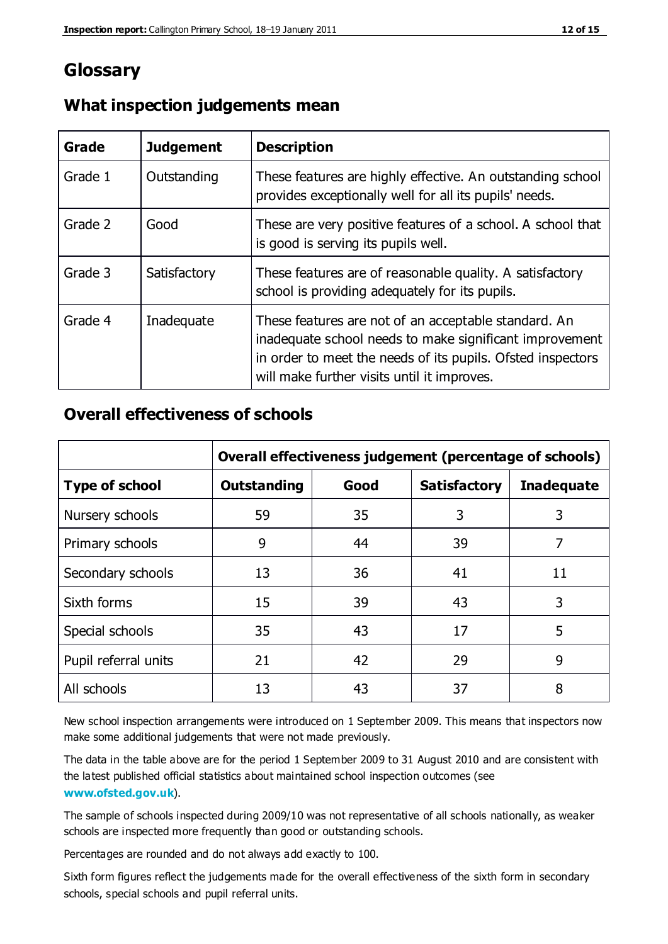# **Glossary**

| Grade   | <b>Judgement</b> | <b>Description</b>                                                                                                                                                                                                            |
|---------|------------------|-------------------------------------------------------------------------------------------------------------------------------------------------------------------------------------------------------------------------------|
| Grade 1 | Outstanding      | These features are highly effective. An outstanding school<br>provides exceptionally well for all its pupils' needs.                                                                                                          |
| Grade 2 | Good             | These are very positive features of a school. A school that<br>is good is serving its pupils well.                                                                                                                            |
| Grade 3 | Satisfactory     | These features are of reasonable quality. A satisfactory<br>school is providing adequately for its pupils.                                                                                                                    |
| Grade 4 | Inadequate       | These features are not of an acceptable standard. An<br>inadequate school needs to make significant improvement<br>in order to meet the needs of its pupils. Ofsted inspectors<br>will make further visits until it improves. |

#### **What inspection judgements mean**

#### **Overall effectiveness of schools**

|                       | Overall effectiveness judgement (percentage of schools) |      |                     |                   |
|-----------------------|---------------------------------------------------------|------|---------------------|-------------------|
| <b>Type of school</b> | <b>Outstanding</b>                                      | Good | <b>Satisfactory</b> | <b>Inadequate</b> |
| Nursery schools       | 59                                                      | 35   | 3                   | 3                 |
| Primary schools       | 9                                                       | 44   | 39                  | 7                 |
| Secondary schools     | 13                                                      | 36   | 41                  | 11                |
| Sixth forms           | 15                                                      | 39   | 43                  | 3                 |
| Special schools       | 35                                                      | 43   | 17                  | 5                 |
| Pupil referral units  | 21                                                      | 42   | 29                  | 9                 |
| All schools           | 13                                                      | 43   | 37                  | 8                 |

New school inspection arrangements were introduced on 1 September 2009. This means that inspectors now make some additional judgements that were not made previously.

The data in the table above are for the period 1 September 2009 to 31 August 2010 and are consistent with the latest published official statistics about maintained school inspection outcomes (see **[www.ofsted.gov.uk](http://www.ofsted.gov.uk/)**).

The sample of schools inspected during 2009/10 was not representative of all schools nationally, as weaker schools are inspected more frequently than good or outstanding schools.

Percentages are rounded and do not always add exactly to 100.

Sixth form figures reflect the judgements made for the overall effectiveness of the sixth form in secondary schools, special schools and pupil referral units.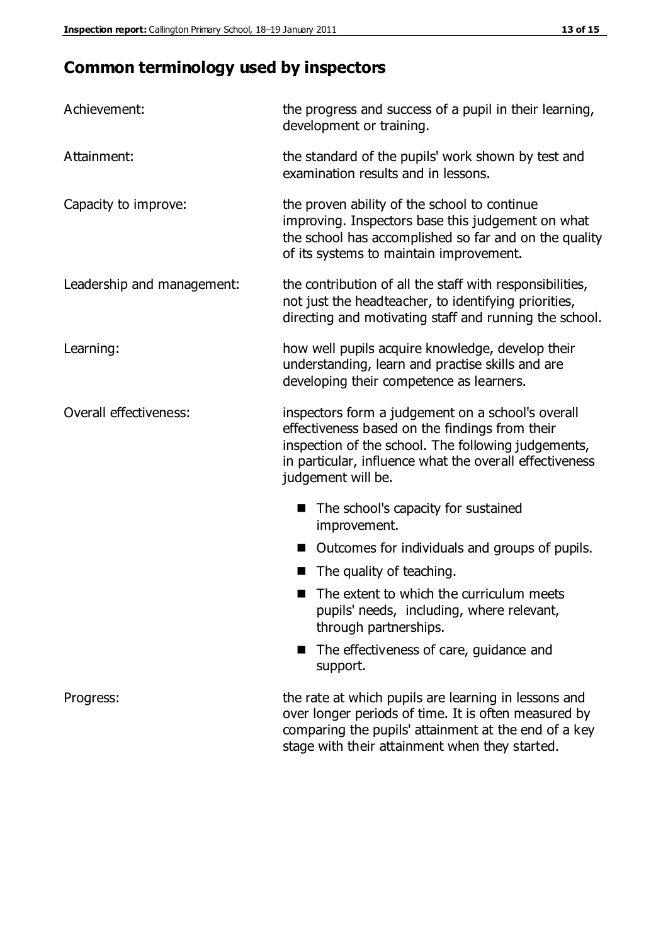# **Common terminology used by inspectors**

| Achievement:               | the progress and success of a pupil in their learning,<br>development or training.                                                                                                                                                          |  |
|----------------------------|---------------------------------------------------------------------------------------------------------------------------------------------------------------------------------------------------------------------------------------------|--|
| Attainment:                | the standard of the pupils' work shown by test and<br>examination results and in lessons.                                                                                                                                                   |  |
| Capacity to improve:       | the proven ability of the school to continue<br>improving. Inspectors base this judgement on what<br>the school has accomplished so far and on the quality<br>of its systems to maintain improvement.                                       |  |
| Leadership and management: | the contribution of all the staff with responsibilities,<br>not just the headteacher, to identifying priorities,<br>directing and motivating staff and running the school.                                                                  |  |
| Learning:                  | how well pupils acquire knowledge, develop their<br>understanding, learn and practise skills and are<br>developing their competence as learners.                                                                                            |  |
| Overall effectiveness:     | inspectors form a judgement on a school's overall<br>effectiveness based on the findings from their<br>inspection of the school. The following judgements,<br>in particular, influence what the overall effectiveness<br>judgement will be. |  |
|                            | The school's capacity for sustained<br>improvement.                                                                                                                                                                                         |  |
|                            | Outcomes for individuals and groups of pupils.                                                                                                                                                                                              |  |
|                            | The quality of teaching.                                                                                                                                                                                                                    |  |
|                            | The extent to which the curriculum meets<br>pupils' needs, including, where relevant,<br>through partnerships.                                                                                                                              |  |
|                            | The effectiveness of care, guidance and<br>support.                                                                                                                                                                                         |  |
| Progress:                  | the rate at which pupils are learning in lessons and<br>over longer periods of time. It is often measured by<br>comparing the pupils' attainment at the end of a key                                                                        |  |

stage with their attainment when they started.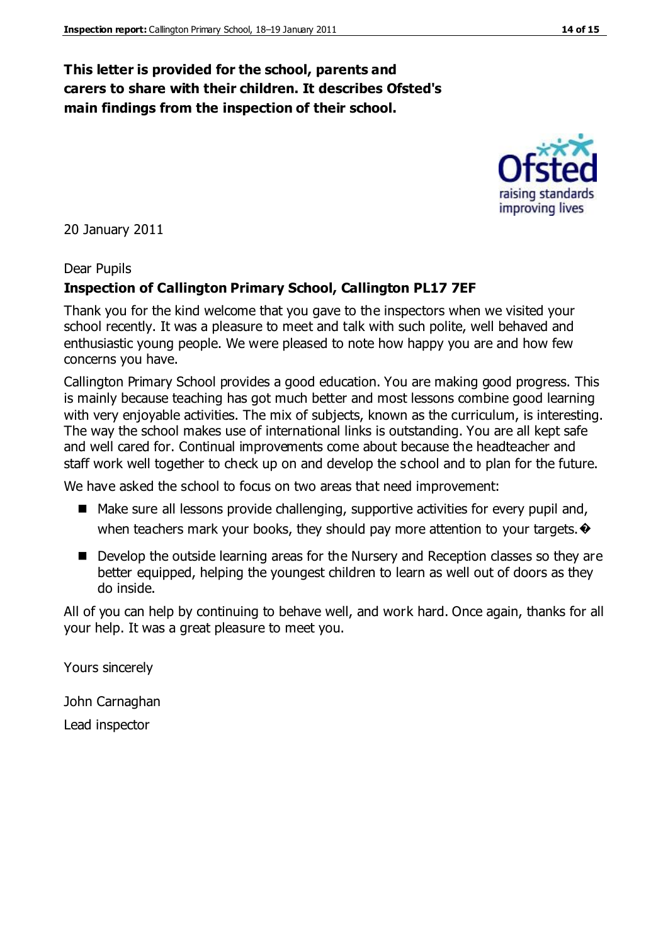#### **This letter is provided for the school, parents and carers to share with their children. It describes Ofsted's main findings from the inspection of their school.**

20 January 2011

#### Dear Pupils

#### **Inspection of Callington Primary School, Callington PL17 7EF**

Thank you for the kind welcome that you gave to the inspectors when we visited your school recently. It was a pleasure to meet and talk with such polite, well behaved and enthusiastic young people. We were pleased to note how happy you are and how few concerns you have.

Callington Primary School provides a good education. You are making good progress. This is mainly because teaching has got much better and most lessons combine good learning with very enjoyable activities. The mix of subjects, known as the curriculum, is interesting. The way the school makes use of international links is outstanding. You are all kept safe and well cared for. Continual improvements come about because the headteacher and staff work well together to check up on and develop the school and to plan for the future.

We have asked the school to focus on two areas that need improvement:

- Make sure all lessons provide challenging, supportive activities for every pupil and, when teachers mark your books, they should pay more attention to your targets.  $\bullet$
- Develop the outside learning areas for the Nursery and Reception classes so they are better equipped, helping the youngest children to learn as well out of doors as they do inside.

All of you can help by continuing to behave well, and work hard. Once again, thanks for all your help. It was a great pleasure to meet you.

Yours sincerely

John Carnaghan Lead inspector